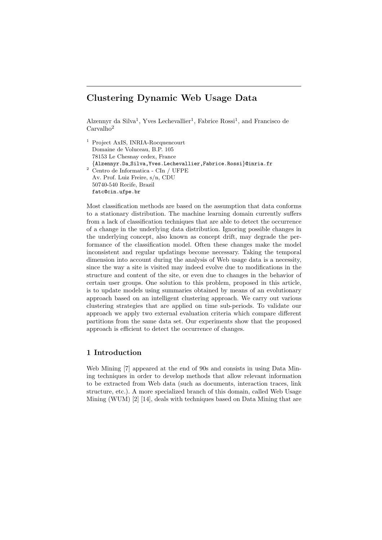# Clustering Dynamic Web Usage Data

Alzennyr da Silva<sup>1</sup>, Yves Lechevallier<sup>1</sup>, Fabrice Rossi<sup>1</sup>, and Francisco de Carvalho<sup>2</sup>

<sup>1</sup> Project AxIS, INRIA-Rocquencourt Domaine de Voluceau, B.P. 105 78153 Le Chesnay cedex, France {Alzennyr.Da Silva,Yves.Lechevallier,Fabrice.Rossi}@inria.fr  $^2\,$  Centro de Informatica - CIn / UFPE Av. Prof. Luiz Freire, s/n, CDU 50740-540 Recife, Brazil

Most classification methods are based on the assumption that data conforms to a stationary distribution. The machine learning domain currently suffers from a lack of classification techniques that are able to detect the occurrence of a change in the underlying data distribution. Ignoring possible changes in the underlying concept, also known as concept drift, may degrade the performance of the classification model. Often these changes make the model inconsistent and regular updatings become necessary. Taking the temporal dimension into account during the analysis of Web usage data is a necessity, since the way a site is visited may indeed evolve due to modifications in the structure and content of the site, or even due to changes in the behavior of certain user groups. One solution to this problem, proposed in this article, is to update models using summaries obtained by means of an evolutionary approach based on an intelligent clustering approach. We carry out various clustering strategies that are applied on time sub-periods. To validate our approach we apply two external evaluation criteria which compare different partitions from the same data set. Our experiments show that the proposed approach is efficient to detect the occurrence of changes.

## 1 Introduction

fatc@cin.ufpe.br

Web Mining [7] appeared at the end of 90s and consists in using Data Mining techniques in order to develop methods that allow relevant information to be extracted from Web data (such as documents, interaction traces, link structure, etc.). A more specialized branch of this domain, called Web Usage Mining (WUM) [2] [14], deals with techniques based on Data Mining that are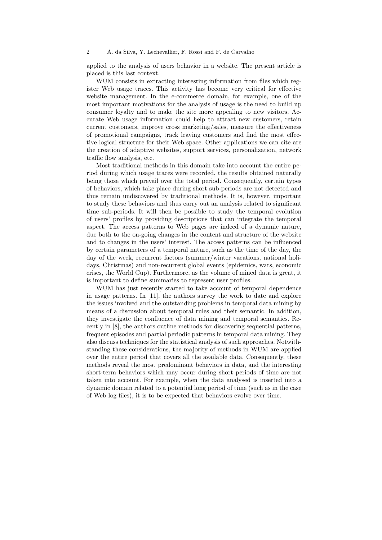applied to the analysis of users behavior in a website. The present article is placed is this last context.

WUM consists in extracting interesting information from files which register Web usage traces. This activity has become very critical for effective website management. In the e-commerce domain, for example, one of the most important motivations for the analysis of usage is the need to build up consumer loyalty and to make the site more appealing to new visitors. Accurate Web usage information could help to attract new customers, retain current customers, improve cross marketing/sales, measure the effectiveness of promotional campaigns, track leaving customers and find the most effective logical structure for their Web space. Other applications we can cite are the creation of adaptive websites, support services, personalization, network traffic flow analysis, etc.

Most traditional methods in this domain take into account the entire period during which usage traces were recorded, the results obtained naturally being those which prevail over the total period. Consequently, certain types of behaviors, which take place during short sub-periods are not detected and thus remain undiscovered by traditional methods. It is, however, important to study these behaviors and thus carry out an analysis related to significant time sub-periods. It will then be possible to study the temporal evolution of users' profiles by providing descriptions that can integrate the temporal aspect. The access patterns to Web pages are indeed of a dynamic nature, due both to the on-going changes in the content and structure of the website and to changes in the users' interest. The access patterns can be influenced by certain parameters of a temporal nature, such as the time of the day, the day of the week, recurrent factors (summer/winter vacations, national holidays, Christmas) and non-recurrent global events (epidemics, wars, economic crises, the World Cup). Furthermore, as the volume of mined data is great, it is important to define summaries to represent user profiles.

WUM has just recently started to take account of temporal dependence in usage patterns. In [11], the authors survey the work to date and explore the issues involved and the outstanding problems in temporal data mining by means of a discussion about temporal rules and their semantic. In addition, they investigate the confluence of data mining and temporal semantics. Recently in [8], the authors outline methods for discovering sequential patterns, frequent episodes and partial periodic patterns in temporal data mining. They also discuss techniques for the statistical analysis of such approaches. Notwithstanding these considerations, the majority of methods in WUM are applied over the entire period that covers all the available data. Consequently, these methods reveal the most predominant behaviors in data, and the interesting short-term behaviors which may occur during short periods of time are not taken into account. For example, when the data analysed is inserted into a dynamic domain related to a potential long period of time (such as in the case of Web log files), it is to be expected that behaviors evolve over time.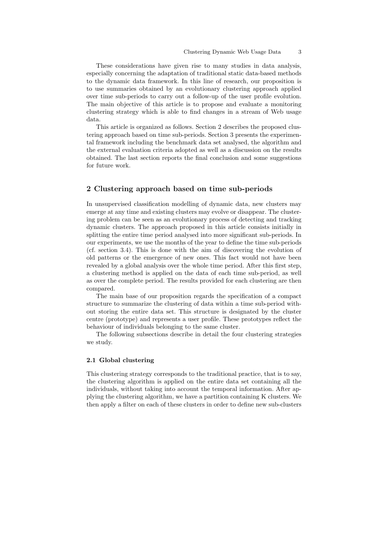These considerations have given rise to many studies in data analysis, especially concerning the adaptation of traditional static data-based methods to the dynamic data framework. In this line of research, our proposition is to use summaries obtained by an evolutionary clustering approach applied over time sub-periods to carry out a follow-up of the user profile evolution. The main objective of this article is to propose and evaluate a monitoring clustering strategy which is able to find changes in a stream of Web usage data.

This article is organized as follows. Section 2 describes the proposed clustering approach based on time sub-periods. Section 3 presents the experimental framework including the benchmark data set analysed, the algorithm and the external evaluation criteria adopted as well as a discussion on the results obtained. The last section reports the final conclusion and some suggestions for future work.

## 2 Clustering approach based on time sub-periods

In unsupervised classification modelling of dynamic data, new clusters may emerge at any time and existing clusters may evolve or disappear. The clustering problem can be seen as an evolutionary process of detecting and tracking dynamic clusters. The approach proposed in this article consists initially in splitting the entire time period analysed into more significant sub-periods. In our experiments, we use the months of the year to define the time sub-periods (cf. section 3.4). This is done with the aim of discovering the evolution of old patterns or the emergence of new ones. This fact would not have been revealed by a global analysis over the whole time period. After this first step, a clustering method is applied on the data of each time sub-period, as well as over the complete period. The results provided for each clustering are then compared.

The main base of our proposition regards the specification of a compact structure to summarize the clustering of data within a time sub-period without storing the entire data set. This structure is designated by the cluster centre (prototype) and represents a user profile. These prototypes reflect the behaviour of individuals belonging to the same cluster.

The following subsections describe in detail the four clustering strategies we study.

#### 2.1 Global clustering

This clustering strategy corresponds to the traditional practice, that is to say, the clustering algorithm is applied on the entire data set containing all the individuals, without taking into account the temporal information. After applying the clustering algorithm, we have a partition containing K clusters. We then apply a filter on each of these clusters in order to define new sub-clusters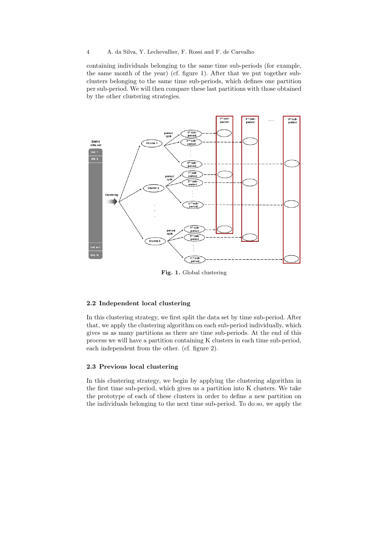containing individuals belonging to the same time sub-periods (for example, the same month of the year) (cf. figure 1). After that we put together subclusters belonging to the same time sub-periods, which defines one partition per sub-period. We will then compare these last partitions with those obtained by the other clustering strategies.



Fig. 1. Global clustering

#### 2.2 Independent local clustering

In this clustering strategy, we first split the data set by time sub-period. After that, we apply the clustering algorithm on each sub-period individually, which gives us as many partitions as there are time sub-periods. At the end of this process we will have a partition containing K clusters in each time sub-period, each independent from the other. (cf. figure 2).

#### 2.3 Previous local clustering

In this clustering strategy, we begin by applying the clustering algorithm in the first time sub-period, which gives us a partition into K clusters. We take the prototype of each of these clusters in order to define a new partition on the individuals belonging to the next time sub-period. To do so, we apply the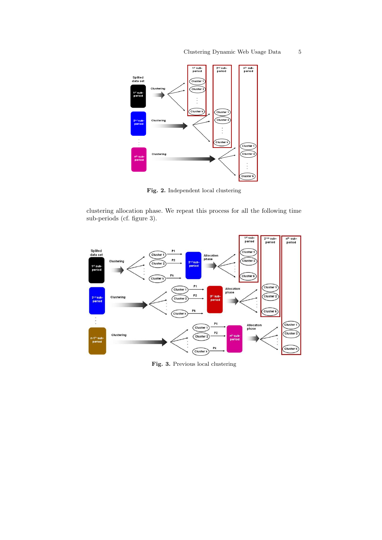

Fig. 2. Independent local clustering

clustering allocation phase. We repeat this process for all the following time sub-periods (cf. figure 3).



Fig. 3. Previous local clustering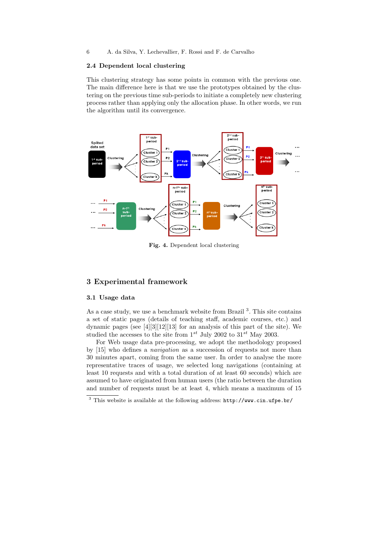6 A. da Silva, Y. Lechevallier, F. Rossi and F. de Carvalho

#### 2.4 Dependent local clustering

This clustering strategy has some points in common with the previous one. The main difference here is that we use the prototypes obtained by the clustering on the previous time sub-periods to initiate a completely new clustering process rather than applying only the allocation phase. In other words, we run the algorithm until its convergence.



Fig. 4. Dependent local clustering

## 3 Experimental framework

## 3.1 Usage data

As a case study, we use a benchmark website from Brazil<sup>3</sup>. This site contains a set of static pages (details of teaching staff, academic courses, etc.) and dynamic pages (see  $[4][3][12][13]$  for an analysis of this part of the site). We studied the accesses to the site from  $1^{st}$  July 2002 to  $31^{st}$  May 2003.

For Web usage data pre-processing, we adopt the methodology proposed by [15] who defines a navigation as a succession of requests not more than 30 minutes apart, coming from the same user. In order to analyse the more representative traces of usage, we selected long navigations (containing at least 10 requests and with a total duration of at least 60 seconds) which are assumed to have originated from human users (the ratio between the duration and number of requests must be at least 4, which means a maximum of 15

<sup>3</sup> This website is available at the following address: http://www.cin.ufpe.br/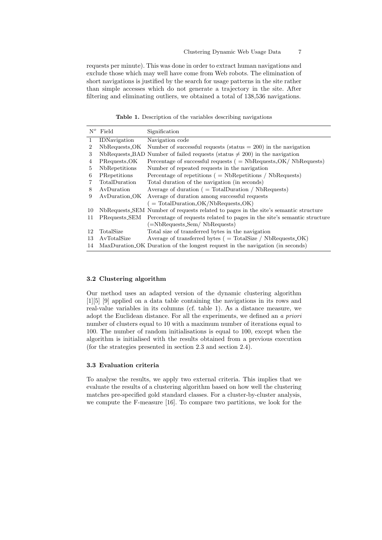requests per minute). This was done in order to extract human navigations and exclude those which may well have come from Web robots. The elimination of short navigations is justified by the search for usage patterns in the site rather than simple accesses which do not generate a trajectory in the site. After filtering and eliminating outliers, we obtained a total of 138,536 navigations.

Table 1. Description of the variables describing navigations

| $N^o$        | Field                     | Signification                                                                       |
|--------------|---------------------------|-------------------------------------------------------------------------------------|
| $\mathbf{1}$ | IDNavigation              | Navigation code                                                                     |
| 2            | NbRequests_OK             | Number of successful requests (status $= 200$ ) in the navigation                   |
| 3            |                           | NbRequests_BAD Number of failed requests (status $\neq$ 200) in the navigation      |
| 4            | PRequests_OK              | Percentage of successful requests $($ = NbRequests $OK/$ NbRequests $)$             |
| 5            | NbRepetitions             | Number of repeated requests in the navigation                                       |
| 6            | PRepetitions              | Percentage of repetitions $($ = NbRepetitions $/$ NbRequests)                       |
|              | <b>TotalDuration</b>      | Total duration of the navigation (in seconds)                                       |
| 8            | AvDuration                | Average of duration $($ = TotalDuration $/$ NbRequests $)$                          |
| 9            | AvDuration <sub>-OK</sub> | Average of duration among successful requests                                       |
|              |                           | $($ = TotalDuration_OK/NbRequests_OK)                                               |
| 10           |                           | NbRequests_SEM Number of requests related to pages in the site's semantic structure |
| 11           | PRequests_SEM             | Percentage of requests related to pages in the site's semantic structure            |
|              |                           | (=NbRequests_Sem/NbRequests)                                                        |
| 12           | TotalSize                 | Total size of transferred bytes in the navigation                                   |
| 13           | AvTotalSize               | Average of transferred bytes ( $=$ TotalSize / NbRequests_OK)                       |
| 14           |                           | MaxDuration OK Duration of the longest request in the navigation (in seconds)       |

## 3.2 Clustering algorithm

Our method uses an adapted version of the dynamic clustering algorithm [1][5] [9] applied on a data table containing the navigations in its rows and real-value variables in its columns (cf. table 1). As a distance measure, we adopt the Euclidean distance. For all the experiments, we defined an a priori number of clusters equal to 10 with a maximum number of iterations equal to 100. The number of random initialisations is equal to 100, except when the algorithm is initialised with the results obtained from a previous execution (for the strategies presented in section 2.3 and section 2.4).

#### 3.3 Evaluation criteria

To analyse the results, we apply two external criteria. This implies that we evaluate the results of a clustering algorithm based on how well the clustering matches pre-specified gold standard classes. For a cluster-by-cluster analysis, we compute the F-measure [16]. To compare two partitions, we look for the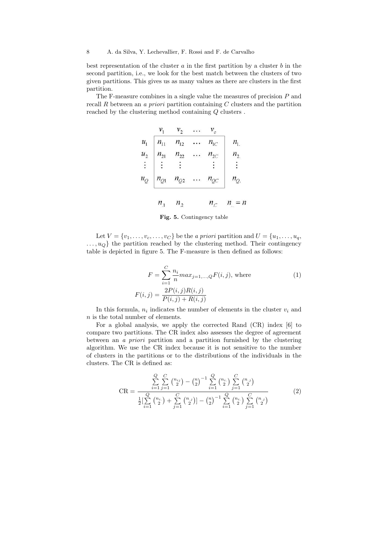best representation of the cluster  $a$  in the first partition by a cluster  $b$  in the second partition, i.e., we look for the best match between the clusters of two given partitions. This gives us as many values as there are clusters in the first partition.

The F-measure combines in a single value the measures of precision P and recall R between an a priori partition containing  $C$  clusters and the partition reached by the clustering method containing Q clusters .

|  | $v_1$ $v_2$ $v_c$ |                                                                                                                                                 |                                 |
|--|-------------------|-------------------------------------------------------------------------------------------------------------------------------------------------|---------------------------------|
|  |                   |                                                                                                                                                 | $n_{\rm L}$                     |
|  |                   |                                                                                                                                                 |                                 |
|  |                   |                                                                                                                                                 |                                 |
|  |                   | $u_1$ $n_{11}$ $n_{12}$ $n_{1C}$<br>$u_2$ $n_{21}$ $n_{22}$ $n_{2C}$<br>$\vdots$ $\vdots$ $\vdots$ $\vdots$<br>$u_Q$ $n_{Q1}$ $n_{Q2}$ $n_{QC}$ | $n_Q$                           |
|  | $n_{.2}$          | $n_C$                                                                                                                                           | $n_{\scriptscriptstyle\perp}=n$ |

Fig. 5. Contingency table

Let  $V = \{v_1, \ldots, v_c, \ldots, v_C\}$  be the a priori partition and  $U = \{u_1, \ldots, u_q,$  $..., u_Q$  the partition reached by the clustering method. Their contingency table is depicted in figure 5. The F-measure is then defined as follows:

$$
F = \sum_{i=1}^{C} \frac{n_i}{n} max_{j=1,\dots,Q} F(i,j), \text{ where}
$$
  
\n
$$
F(i,j) = \frac{2P(i,j)R(i,j)}{P(i,j) + R(i,j)}
$$
\n(1)

In this formula,  $n_i$  indicates the number of elements in the cluster  $v_i$  and  $n$  is the total number of elements.

For a global analysis, we apply the corrected Rand (CR) index [6] to compare two partitions. The CR index also assesses the degree of agreement between an a priori partition and a partition furnished by the clustering algorithm. We use the CR index because it is not sensitive to the number of clusters in the partitions or to the distributions of the individuals in the clusters. The CR is defined as:

$$
CR = \frac{\sum_{i=1}^{Q} \sum_{j=1}^{C} {n_{ij} \choose 2} - {n \choose 2}^{-1} \sum_{i=1}^{Q} {n_{i} \choose 2} \sum_{j=1}^{C} {n_{j} \choose 2}}{\frac{1}{2} [\sum_{i=1}^{Q} {n_{i} \choose 2} + \sum_{j=1}^{C} {n_{j} \choose 2}] - {n \choose 2}^{-1} \sum_{i=1}^{Q} {n_{i} \choose 2} \sum_{j=1}^{C} {n_{j} \choose 2}}
$$
(2)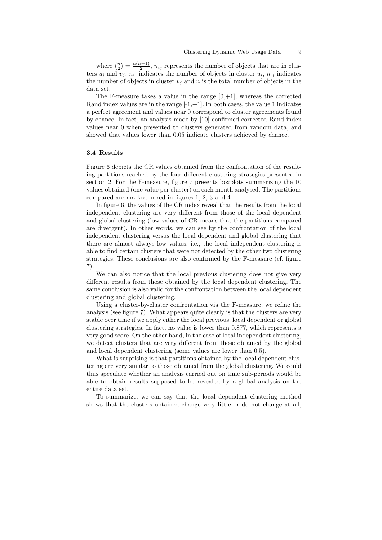where  $\binom{n}{2} = \frac{n(n-1)}{2}$  $\frac{1}{2}$ ,  $n_{ij}$  represents the number of objects that are in clusters  $u_i$  and  $v_j$ ,  $n_i$  indicates the number of objects in cluster  $u_i$ ,  $n_{.j}$  indicates the number of objects in cluster  $v_i$  and n is the total number of objects in the data set.

The F-measure takes a value in the range  $[0, +1]$ , whereas the corrected Rand index values are in the range  $[-1, +1]$ . In both cases, the value 1 indicates a perfect agreement and values near 0 correspond to cluster agreements found by chance. In fact, an analysis made by [10] confirmed corrected Rand index values near 0 when presented to clusters generated from random data, and showed that values lower than 0.05 indicate clusters achieved by chance.

## 3.4 Results

Figure 6 depicts the CR values obtained from the confrontation of the resulting partitions reached by the four different clustering strategies presented in section 2. For the F-measure, figure 7 presents boxplots summarizing the 10 values obtained (one value per cluster) on each month analysed. The partitions compared are marked in red in figures 1, 2, 3 and 4.

In figure 6, the values of the CR index reveal that the results from the local independent clustering are very different from those of the local dependent and global clustering (low values of CR means that the partitions compared are divergent). In other words, we can see by the confrontation of the local independent clustering versus the local dependent and global clustering that there are almost always low values, i.e., the local independent clustering is able to find certain clusters that were not detected by the other two clustering strategies. These conclusions are also confirmed by the F-measure (cf. figure 7).

We can also notice that the local previous clustering does not give very different results from those obtained by the local dependent clustering. The same conclusion is also valid for the confrontation between the local dependent clustering and global clustering.

Using a cluster-by-cluster confrontation via the F-measure, we refine the analysis (see figure 7). What appears quite clearly is that the clusters are very stable over time if we apply either the local previous, local dependent or global clustering strategies. In fact, no value is lower than 0.877, which represents a very good score. On the other hand, in the case of local independent clustering, we detect clusters that are very different from those obtained by the global and local dependent clustering (some values are lower than 0.5).

What is surprising is that partitions obtained by the local dependent clustering are very similar to those obtained from the global clustering. We could thus speculate whether an analysis carried out on time sub-periods would be able to obtain results supposed to be revealed by a global analysis on the entire data set.

To summarize, we can say that the local dependent clustering method shows that the clusters obtained change very little or do not change at all,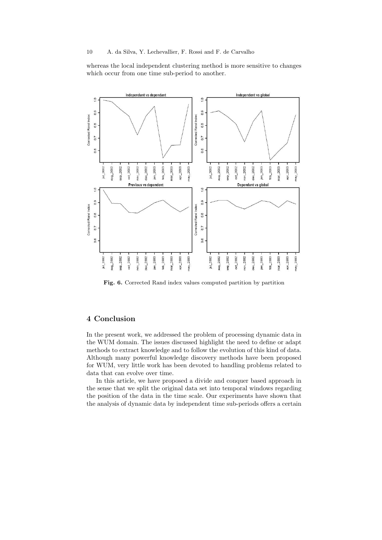whereas the local independent clustering method is more sensitive to changes which occur from one time sub-period to another.



Fig. 6. Corrected Rand index values computed partition by partition

# 4 Conclusion

In the present work, we addressed the problem of processing dynamic data in the WUM domain. The issues discussed highlight the need to define or adapt methods to extract knowledge and to follow the evolution of this kind of data. Although many powerful knowledge discovery methods have been proposed for WUM, very little work has been devoted to handling problems related to data that can evolve over time.

In this article, we have proposed a divide and conquer based approach in the sense that we split the original data set into temporal windows regarding the position of the data in the time scale. Our experiments have shown that the analysis of dynamic data by independent time sub-periods offers a certain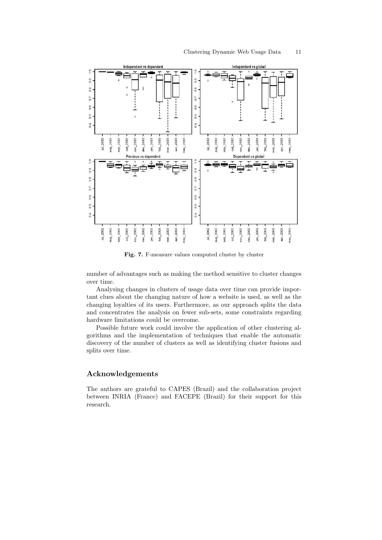

Fig. 7. F-measure values computed cluster by cluster

number of advantages such as making the method sensitive to cluster changes over time.

Analysing changes in clusters of usage data over time can provide important clues about the changing nature of how a website is used, as well as the changing loyalties of its users. Furthermore, as our approach splits the data and concentrates the analysis on fewer sub-sets, some constraints regarding hardware limitations could be overcome.

Possible future work could involve the application of other clustering algorithms and the implementation of techniques that enable the automatic discovery of the number of clusters as well as identifying cluster fusions and splits over time.

## Acknowledgements

The authors are grateful to CAPES (Brazil) and the collaboration project between INRIA (France) and FACEPE (Brazil) for their support for this research.